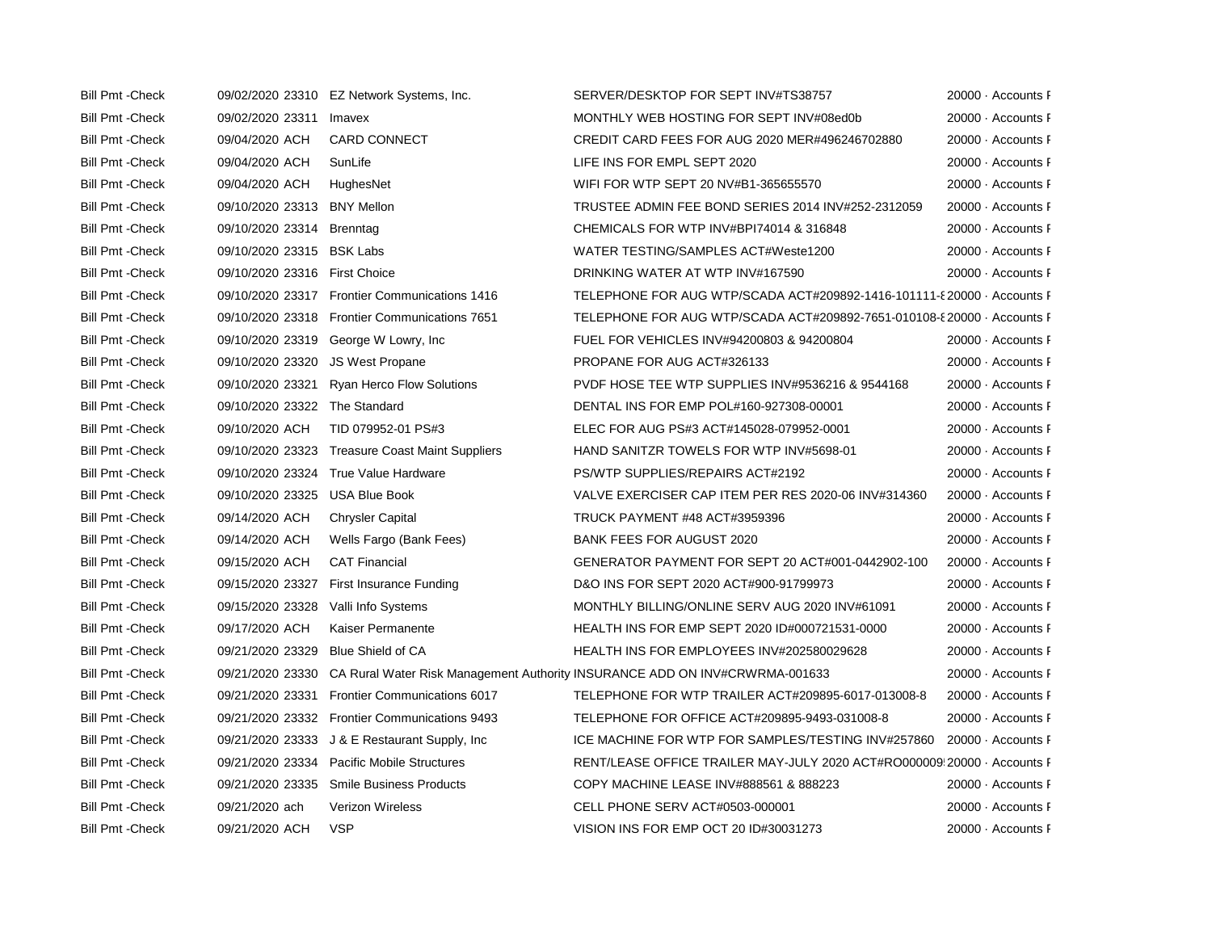| <b>Bill Pmt - Check</b> |                                | 09/02/2020 23310 EZ Network Systems, Inc.       | SERVER/DESKTOP FOR SEPT INV#TS38757                                                          | 20000 Accounts F   |
|-------------------------|--------------------------------|-------------------------------------------------|----------------------------------------------------------------------------------------------|--------------------|
| <b>Bill Pmt - Check</b> | 09/02/2020 23311               | Imavex                                          | MONTHLY WEB HOSTING FOR SEPT INV#08ed0b                                                      | 20000 Accounts F   |
| <b>Bill Pmt - Check</b> | 09/04/2020 ACH                 | <b>CARD CONNECT</b>                             | CREDIT CARD FEES FOR AUG 2020 MER#496246702880                                               | 20000 Accounts F   |
| <b>Bill Pmt - Check</b> | 09/04/2020 ACH                 | SunLife                                         | LIFE INS FOR EMPL SEPT 2020                                                                  | 20000 - Accounts F |
| <b>Bill Pmt - Check</b> | 09/04/2020 ACH                 | HughesNet                                       | WIFI FOR WTP SEPT 20 NV#B1-365655570                                                         | 20000 Accounts F   |
| <b>Bill Pmt - Check</b> | 09/10/2020 23313 BNY Mellon    |                                                 | TRUSTEE ADMIN FEE BOND SERIES 2014 INV#252-2312059                                           | 20000 Accounts F   |
| <b>Bill Pmt - Check</b> | 09/10/2020 23314 Brenntag      |                                                 | CHEMICALS FOR WTP INV#BPI74014 & 316848                                                      | 20000 Accounts F   |
| <b>Bill Pmt - Check</b> | 09/10/2020 23315 BSK Labs      |                                                 | WATER TESTING/SAMPLES ACT#Weste1200                                                          | 20000 Accounts F   |
| <b>Bill Pmt - Check</b> | 09/10/2020 23316 First Choice  |                                                 | DRINKING WATER AT WTP INV#167590                                                             | 20000 - Accounts F |
| <b>Bill Pmt - Check</b> |                                | 09/10/2020 23317 Frontier Communications 1416   | TELEPHONE FOR AUG WTP/SCADA ACT#209892-1416-101111-8 20000 · Accounts F                      |                    |
| <b>Bill Pmt - Check</b> |                                | 09/10/2020 23318 Frontier Communications 7651   | TELEPHONE FOR AUG WTP/SCADA ACT#209892-7651-010108-{20000 Accounts F                         |                    |
| <b>Bill Pmt - Check</b> |                                | 09/10/2020 23319 George W Lowry, Inc.           | FUEL FOR VEHICLES INV#94200803 & 94200804                                                    | 20000 Accounts F   |
| <b>Bill Pmt - Check</b> | 09/10/2020 23320               | <b>JS West Propane</b>                          | PROPANE FOR AUG ACT#326133                                                                   | 20000 Accounts F   |
| <b>Bill Pmt - Check</b> | 09/10/2020 23321               | <b>Ryan Herco Flow Solutions</b>                | PVDF HOSE TEE WTP SUPPLIES INV#9536216 & 9544168                                             | 20000 - Accounts F |
| <b>Bill Pmt - Check</b> | 09/10/2020 23322 The Standard  |                                                 | DENTAL INS FOR EMP POL#160-927308-00001                                                      | 20000 Accounts F   |
| <b>Bill Pmt - Check</b> | 09/10/2020 ACH                 | TID 079952-01 PS#3                              | ELEC FOR AUG PS#3 ACT#145028-079952-0001                                                     | 20000 Accounts F   |
| <b>Bill Pmt - Check</b> |                                | 09/10/2020 23323 Treasure Coast Maint Suppliers | HAND SANITZR TOWELS FOR WTP INV#5698-01                                                      | 20000 Accounts F   |
| <b>Bill Pmt - Check</b> |                                | 09/10/2020 23324 True Value Hardware            | PS/WTP SUPPLIES/REPAIRS ACT#2192                                                             | 20000 Accounts F   |
| <b>Bill Pmt - Check</b> | 09/10/2020 23325 USA Blue Book |                                                 | VALVE EXERCISER CAP ITEM PER RES 2020-06 INV#314360                                          | 20000 Accounts F   |
| <b>Bill Pmt - Check</b> | 09/14/2020 ACH                 | <b>Chrysler Capital</b>                         | <b>TRUCK PAYMENT #48 ACT#3959396</b>                                                         | 20000 Accounts F   |
| <b>Bill Pmt - Check</b> | 09/14/2020 ACH                 | Wells Fargo (Bank Fees)                         | <b>BANK FEES FOR AUGUST 2020</b>                                                             | 20000 Accounts F   |
| <b>Bill Pmt - Check</b> | 09/15/2020 ACH                 | <b>CAT Financial</b>                            | GENERATOR PAYMENT FOR SEPT 20 ACT#001-0442902-100                                            | 20000 Accounts F   |
| <b>Bill Pmt - Check</b> | 09/15/2020 23327               | First Insurance Funding                         | D&O INS FOR SEPT 2020 ACT#900-91799973                                                       | 20000 Accounts F   |
| <b>Bill Pmt - Check</b> | 09/15/2020 23328               | Valli Info Systems                              | MONTHLY BILLING/ONLINE SERV AUG 2020 INV#61091                                               | 20000 Accounts F   |
| <b>Bill Pmt - Check</b> | 09/17/2020 ACH                 | Kaiser Permanente                               | HEALTH INS FOR EMP SEPT 2020 ID#000721531-0000                                               | 20000 - Accounts F |
| <b>Bill Pmt - Check</b> | 09/21/2020 23329               | <b>Blue Shield of CA</b>                        | HEALTH INS FOR EMPLOYEES INV#202580029628                                                    | 20000 Accounts F   |
| <b>Bill Pmt - Check</b> |                                |                                                 | 09/21/2020 23330 CA Rural Water Risk Management Authority INSURANCE ADD ON INV#CRWRMA-001633 | 20000 Accounts F   |
| <b>Bill Pmt - Check</b> | 09/21/2020 23331               | <b>Frontier Communications 6017</b>             | TELEPHONE FOR WTP TRAILER ACT#209895-6017-013008-8                                           | 20000 Accounts F   |
| <b>Bill Pmt - Check</b> |                                | 09/21/2020 23332 Frontier Communications 9493   | TELEPHONE FOR OFFICE ACT#209895-9493-031008-8                                                | 20000 Accounts F   |
| <b>Bill Pmt - Check</b> |                                | 09/21/2020 23333 J & E Restaurant Supply, Inc   | ICE MACHINE FOR WTP FOR SAMPLES/TESTING INV#257860 20000 · Accounts F                        |                    |
| <b>Bill Pmt - Check</b> |                                | 09/21/2020 23334 Pacific Mobile Structures      | RENT/LEASE OFFICE TRAILER MAY-JULY 2020 ACT#RO000009 20000 Accounts F                        |                    |
| <b>Bill Pmt - Check</b> |                                | 09/21/2020 23335 Smile Business Products        | COPY MACHINE LEASE INV#888561 & 888223                                                       | 20000 Accounts F   |
| <b>Bill Pmt - Check</b> | 09/21/2020 ach                 | Verizon Wireless                                | CELL PHONE SERV ACT#0503-000001                                                              | 20000 Accounts F   |
| <b>Bill Pmt - Check</b> | 09/21/2020 ACH                 | <b>VSP</b>                                      | VISION INS FOR EMP OCT 20 ID#30031273                                                        | 20000 Accounts F   |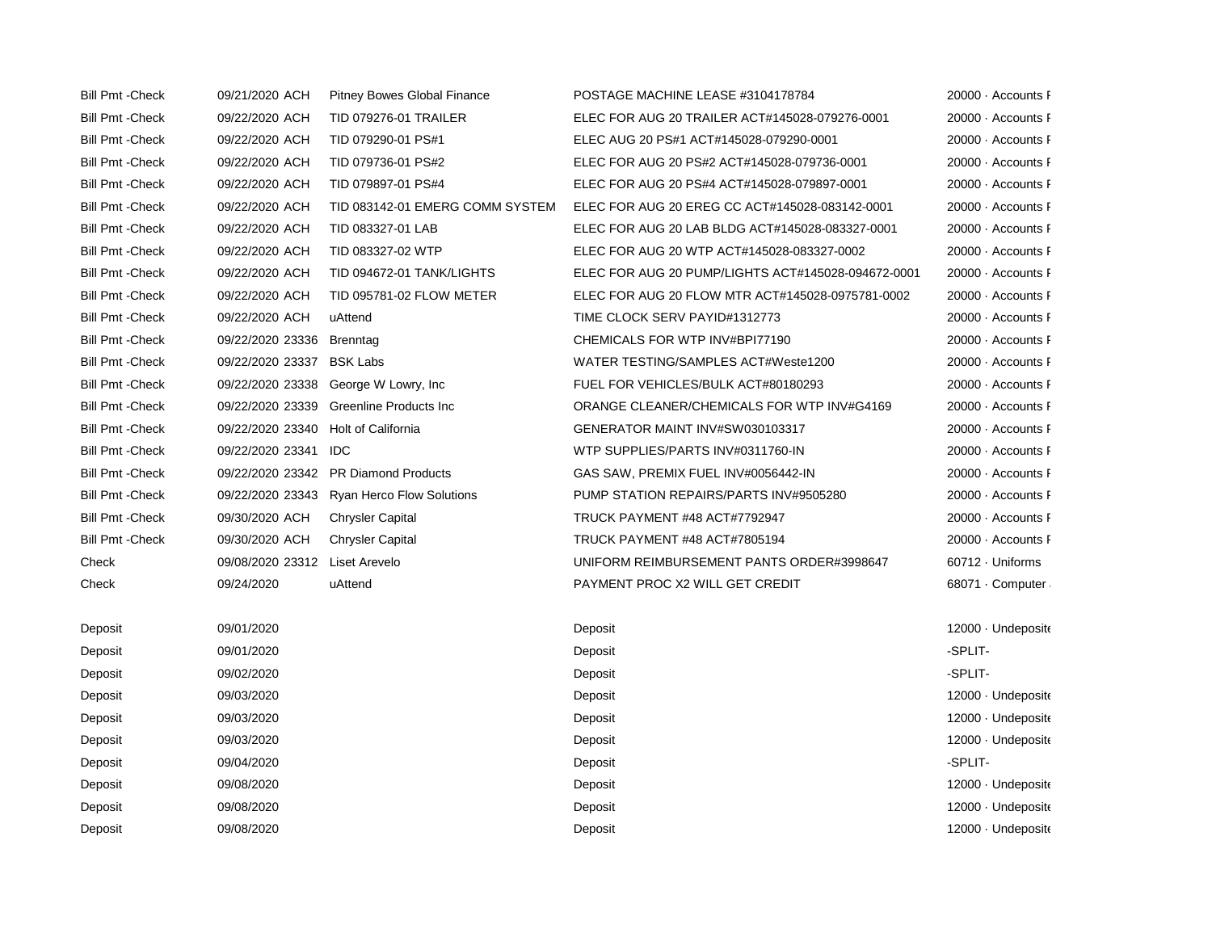| <b>Bill Pmt - Check</b> | 09/21/2020 ACH            | <b>Pitney Bowes Global Finance</b>         | POSTAGE MACHINE LEASE #3104178784                  | 20000 Accounts F   |
|-------------------------|---------------------------|--------------------------------------------|----------------------------------------------------|--------------------|
| <b>Bill Pmt - Check</b> | 09/22/2020 ACH            | <b>TID 079276-01 TRAILER</b>               | ELEC FOR AUG 20 TRAILER ACT#145028-079276-0001     | 20000 Accounts F   |
| <b>Bill Pmt - Check</b> | 09/22/2020 ACH            | TID 079290-01 PS#1                         | ELEC AUG 20 PS#1 ACT#145028-079290-0001            | 20000 Accounts F   |
| <b>Bill Pmt - Check</b> | 09/22/2020 ACH            | TID 079736-01 PS#2                         | ELEC FOR AUG 20 PS#2 ACT#145028-079736-0001        | 20000 Accounts F   |
| <b>Bill Pmt - Check</b> | 09/22/2020 ACH            | TID 079897-01 PS#4                         | ELEC FOR AUG 20 PS#4 ACT#145028-079897-0001        | 20000 Accounts F   |
| <b>Bill Pmt - Check</b> | 09/22/2020 ACH            | TID 083142-01 EMERG COMM SYSTEM            | ELEC FOR AUG 20 EREG CC ACT#145028-083142-0001     | 20000 Accounts F   |
| <b>Bill Pmt - Check</b> | 09/22/2020 ACH            | TID 083327-01 LAB                          | ELEC FOR AUG 20 LAB BLDG ACT#145028-083327-0001    | 20000 Accounts F   |
| <b>Bill Pmt - Check</b> | 09/22/2020 ACH            | TID 083327-02 WTP                          | ELEC FOR AUG 20 WTP ACT#145028-083327-0002         | 20000 Accounts F   |
| <b>Bill Pmt - Check</b> | 09/22/2020 ACH            | TID 094672-01 TANK/LIGHTS                  | ELEC FOR AUG 20 PUMP/LIGHTS ACT#145028-094672-0001 | 20000 Accounts F   |
| <b>Bill Pmt - Check</b> | 09/22/2020 ACH            | TID 095781-02 FLOW METER                   | ELEC FOR AUG 20 FLOW MTR ACT#145028-0975781-0002   | 20000 Accounts F   |
| <b>Bill Pmt - Check</b> | 09/22/2020 ACH            | uAttend                                    | TIME CLOCK SERV PAYID#1312773                      | 20000 - Accounts F |
| <b>Bill Pmt - Check</b> | 09/22/2020 23336 Brenntag |                                            | CHEMICALS FOR WTP INV#BPI77190                     | 20000 Accounts F   |
| <b>Bill Pmt - Check</b> | 09/22/2020 23337 BSK Labs |                                            | WATER TESTING/SAMPLES ACT#Weste1200                | 20000 Accounts F   |
| <b>Bill Pmt - Check</b> |                           | 09/22/2020 23338 George W Lowry, Inc       | FUEL FOR VEHICLES/BULK ACT#80180293                | 20000 Accounts F   |
| <b>Bill Pmt - Check</b> |                           | 09/22/2020 23339 Greenline Products Inc    | ORANGE CLEANER/CHEMICALS FOR WTP INV#G4169         | 20000 Accounts F   |
| <b>Bill Pmt - Check</b> | 09/22/2020 23340          | Holt of California                         | GENERATOR MAINT INV#SW030103317                    | 20000 Accounts F   |
| <b>Bill Pmt - Check</b> | 09/22/2020 23341 IDC      |                                            | WTP SUPPLIES/PARTS INV#0311760-IN                  | 20000 Accounts F   |
| <b>Bill Pmt - Check</b> |                           | 09/22/2020 23342 PR Diamond Products       | GAS SAW, PREMIX FUEL INV#0056442-IN                | 20000 Accounts F   |
| <b>Bill Pmt - Check</b> |                           | 09/22/2020 23343 Ryan Herco Flow Solutions | PUMP STATION REPAIRS/PARTS INV#9505280             | 20000 Accounts F   |
| <b>Bill Pmt - Check</b> | 09/30/2020 ACH            | <b>Chrysler Capital</b>                    | TRUCK PAYMENT #48 ACT#7792947                      | 20000 Accounts F   |
| <b>Bill Pmt - Check</b> | 09/30/2020 ACH            | <b>Chrysler Capital</b>                    | TRUCK PAYMENT #48 ACT#7805194                      | 20000 Accounts F   |
| Check                   | 09/08/2020 23312          | Liset Arevelo                              | UNIFORM REIMBURSEMENT PANTS ORDER#3998647          | 60712 · Uniforms   |
| Check                   | 09/24/2020                | uAttend                                    | PAYMENT PROC X2 WILL GET CREDIT                    | 68071 Computer     |
|                         |                           |                                            |                                                    |                    |
| Deposit                 | 09/01/2020                |                                            | Deposit                                            | 12000 Undeposite   |
| Deposit                 | 09/01/2020                |                                            | Deposit                                            | -SPLIT-            |
| Deposit                 | 09/02/2020                |                                            | Deposit                                            | -SPLIT-            |
| Deposit                 | 09/03/2020                |                                            | Deposit                                            | 12000 Undeposite   |
| Deposit                 | 09/03/2020                |                                            | Deposit                                            | 12000 Undeposite   |
| Deposit                 | 09/03/2020                |                                            | Deposit                                            | 12000 Undeposite   |
| Deposit                 | 09/04/2020                |                                            | Deposit                                            | -SPLIT-            |

- Deposit 09/08/2020 09/08/2020 Deposit Deposit Deposit Deposit 12000 · Undeposite Deposit 09/08/2020 09/08/2020 Deposit Deposit Deposit Deposit 12000 · Undeposite
- Deposit 09/08/2020 09/08/2020 Deposit Deposit Deposit Deposit 12000 · Undeposite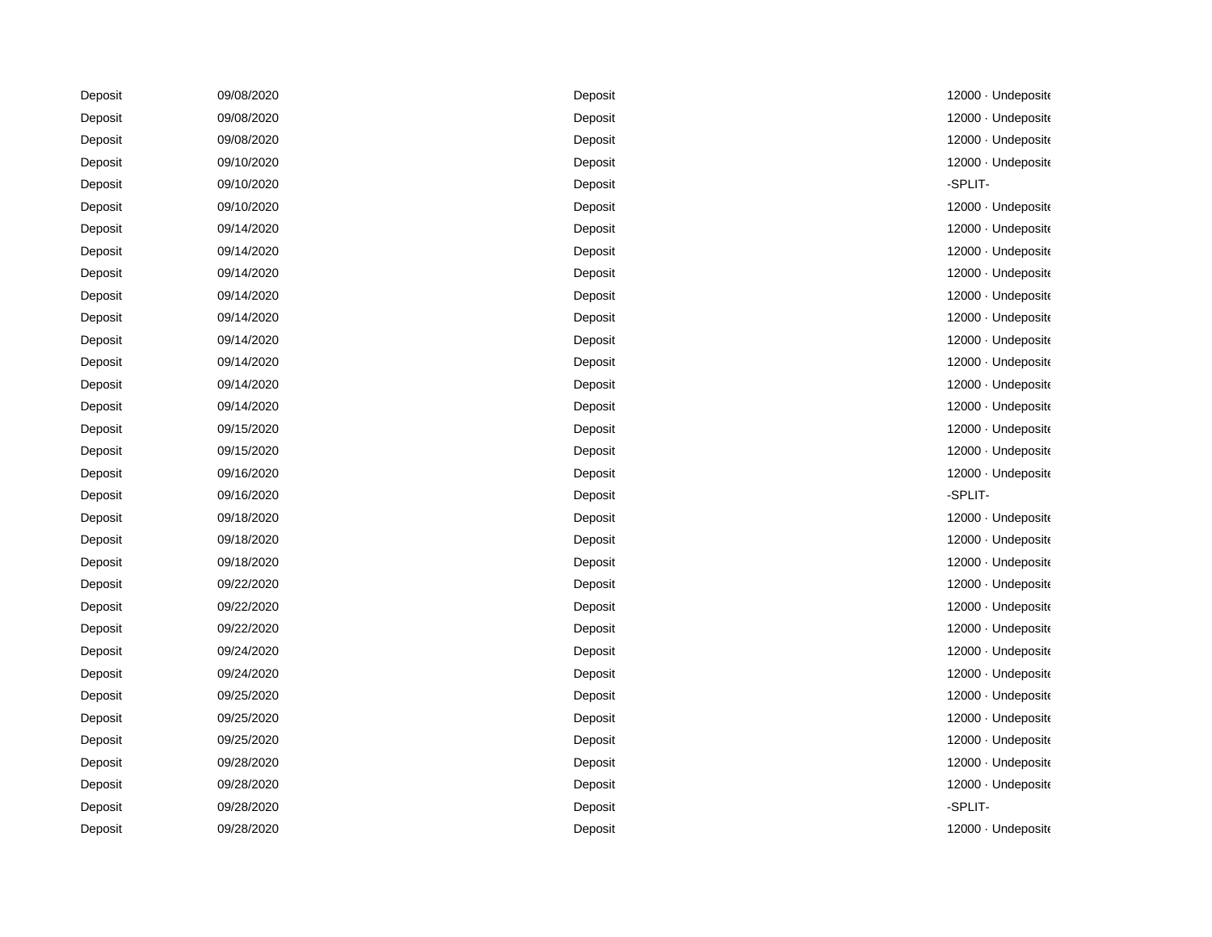| Deposit | 09/08/2020 | Deposit | 12000 Undeposite   |
|---------|------------|---------|--------------------|
| Deposit | 09/08/2020 | Deposit | 12000 Undeposite   |
| Deposit | 09/08/2020 | Deposit | 12000 · Undeposite |
| Deposit | 09/10/2020 | Deposit | 12000 Undeposite   |
| Deposit | 09/10/2020 | Deposit | -SPLIT-            |
| Deposit | 09/10/2020 | Deposit | 12000 · Undeposite |
| Deposit | 09/14/2020 | Deposit | 12000 · Undeposite |
| Deposit | 09/14/2020 | Deposit | 12000 Undeposite   |
| Deposit | 09/14/2020 | Deposit | 12000 Undeposite   |
| Deposit | 09/14/2020 | Deposit | 12000 · Undeposite |
| Deposit | 09/14/2020 | Deposit | 12000 · Undeposite |
| Deposit | 09/14/2020 | Deposit | 12000 · Undeposite |
| Deposit | 09/14/2020 | Deposit | 12000 · Undeposite |
| Deposit | 09/14/2020 | Deposit | 12000 · Undeposite |
| Deposit | 09/14/2020 | Deposit | 12000 · Undeposite |
| Deposit | 09/15/2020 | Deposit | 12000 Undeposite   |
| Deposit | 09/15/2020 | Deposit | 12000 Undeposite   |
| Deposit | 09/16/2020 | Deposit | 12000 · Undeposite |
| Deposit | 09/16/2020 | Deposit | -SPLIT-            |
| Deposit | 09/18/2020 | Deposit | 12000 Undeposite   |
| Deposit | 09/18/2020 | Deposit | 12000 · Undeposite |
| Deposit | 09/18/2020 | Deposit | 12000 · Undeposite |
| Deposit | 09/22/2020 | Deposit | 12000 · Undeposite |
| Deposit | 09/22/2020 | Deposit | 12000 · Undeposito |
| Deposit | 09/22/2020 | Deposit | 12000 Undeposite   |
| Deposit | 09/24/2020 | Deposit | 12000 Undeposite   |
| Deposit | 09/24/2020 | Deposit | 12000 Undeposite   |
| Deposit | 09/25/2020 | Deposit | 12000 · Undeposite |
| Deposit | 09/25/2020 | Deposit | 12000 · Undeposite |
| Deposit | 09/25/2020 | Deposit | 12000 Undeposite   |
| Deposit | 09/28/2020 | Deposit | 12000 · Undeposite |
| Deposit | 09/28/2020 | Deposit | 12000 · Undeposite |
| Deposit | 09/28/2020 | Deposit | -SPLIT-            |
| Deposit | 09/28/2020 | Deposit | 12000 Undeposite   |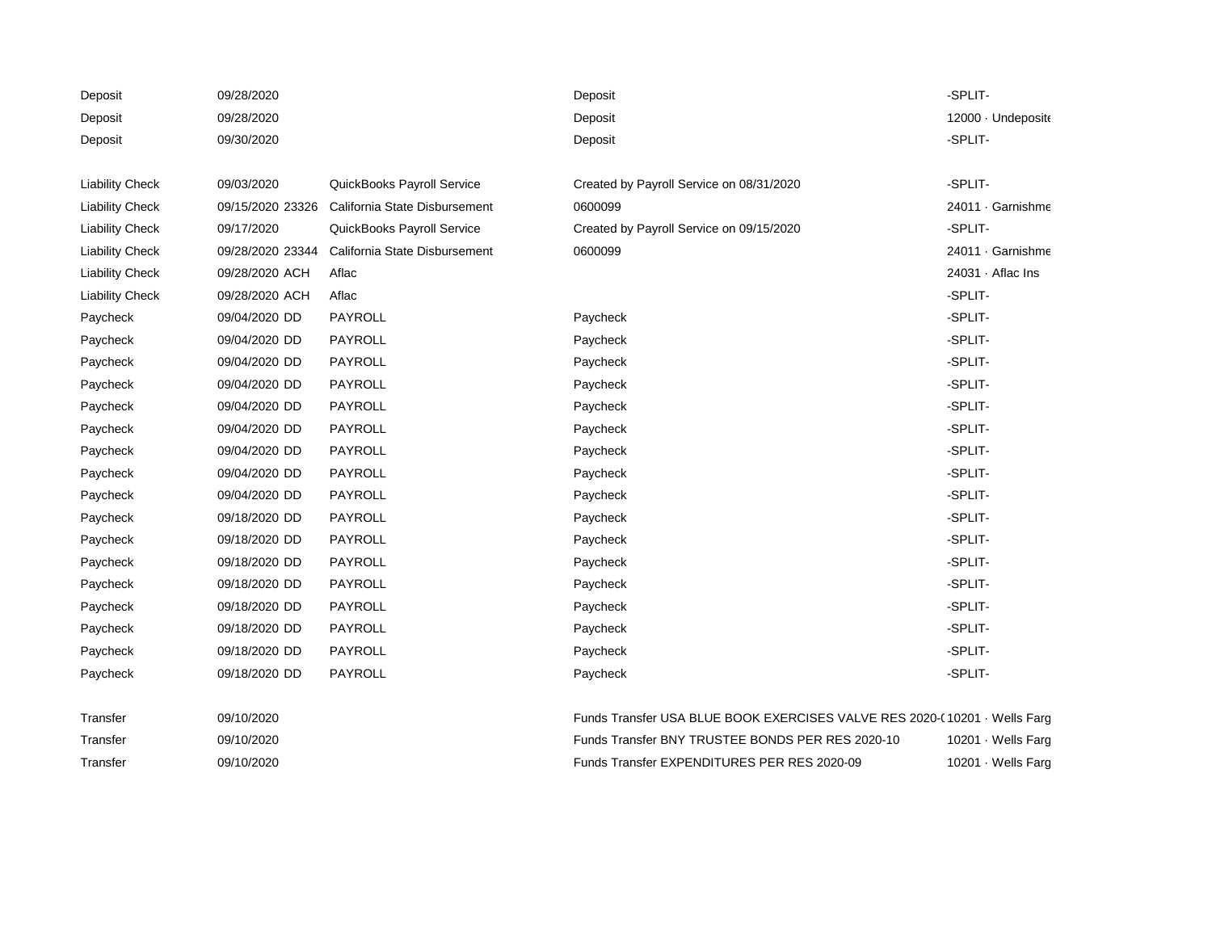| Deposit                | 09/28/2020       |                               | Deposit                                                                   | -SPLIT-            |
|------------------------|------------------|-------------------------------|---------------------------------------------------------------------------|--------------------|
| Deposit                | 09/28/2020       |                               | Deposit                                                                   | 12000 Undeposite   |
| Deposit                | 09/30/2020       |                               | Deposit                                                                   | -SPLIT-            |
|                        |                  |                               |                                                                           |                    |
| <b>Liability Check</b> | 09/03/2020       | QuickBooks Payroll Service    | Created by Payroll Service on 08/31/2020                                  | -SPLIT-            |
| <b>Liability Check</b> | 09/15/2020 23326 | California State Disbursement | 0600099                                                                   | 24011 · Garnishme  |
| <b>Liability Check</b> | 09/17/2020       | QuickBooks Payroll Service    | Created by Payroll Service on 09/15/2020                                  | -SPLIT-            |
| <b>Liability Check</b> | 09/28/2020 23344 | California State Disbursement | 0600099                                                                   | 24011 Garnishme    |
| <b>Liability Check</b> | 09/28/2020 ACH   | Aflac                         |                                                                           | 24031 · Aflac Ins  |
| <b>Liability Check</b> | 09/28/2020 ACH   | Aflac                         |                                                                           | -SPLIT-            |
| Paycheck               | 09/04/2020 DD    | PAYROLL                       | Paycheck                                                                  | -SPLIT-            |
| Paycheck               | 09/04/2020 DD    | PAYROLL                       | Paycheck                                                                  | -SPLIT-            |
| Paycheck               | 09/04/2020 DD    | PAYROLL                       | Paycheck                                                                  | -SPLIT-            |
| Paycheck               | 09/04/2020 DD    | PAYROLL                       | Paycheck                                                                  | -SPLIT-            |
| Paycheck               | 09/04/2020 DD    | PAYROLL                       | Paycheck                                                                  | -SPLIT-            |
| Paycheck               | 09/04/2020 DD    | PAYROLL                       | Paycheck                                                                  | -SPLIT-            |
| Paycheck               | 09/04/2020 DD    | PAYROLL                       | Paycheck                                                                  | -SPLIT-            |
| Paycheck               | 09/04/2020 DD    | PAYROLL                       | Paycheck                                                                  | -SPLIT-            |
| Paycheck               | 09/04/2020 DD    | PAYROLL                       | Paycheck                                                                  | -SPLIT-            |
| Paycheck               | 09/18/2020 DD    | PAYROLL                       | Paycheck                                                                  | -SPLIT-            |
| Paycheck               | 09/18/2020 DD    | PAYROLL                       | Paycheck                                                                  | -SPLIT-            |
| Paycheck               | 09/18/2020 DD    | PAYROLL                       | Paycheck                                                                  | -SPLIT-            |
| Paycheck               | 09/18/2020 DD    | PAYROLL                       | Paycheck                                                                  | -SPLIT-            |
| Paycheck               | 09/18/2020 DD    | PAYROLL                       | Paycheck                                                                  | -SPLIT-            |
| Paycheck               | 09/18/2020 DD    | PAYROLL                       | Paycheck                                                                  | -SPLIT-            |
| Paycheck               | 09/18/2020 DD    | PAYROLL                       | Paycheck                                                                  | -SPLIT-            |
| Paycheck               | 09/18/2020 DD    | PAYROLL                       | Paycheck                                                                  | -SPLIT-            |
| Transfer               | 09/10/2020       |                               | Funds Transfer USA BLUE BOOK EXERCISES VALVE RES 2020-(10201 · Wells Farg |                    |
| Transfer               | 09/10/2020       |                               | Funds Transfer BNY TRUSTEE BONDS PER RES 2020-10                          | 10201 · Wells Farg |
| Transfer               | 09/10/2020       |                               | Funds Transfer EXPENDITURES PER RES 2020-09                               | 10201 · Wells Farg |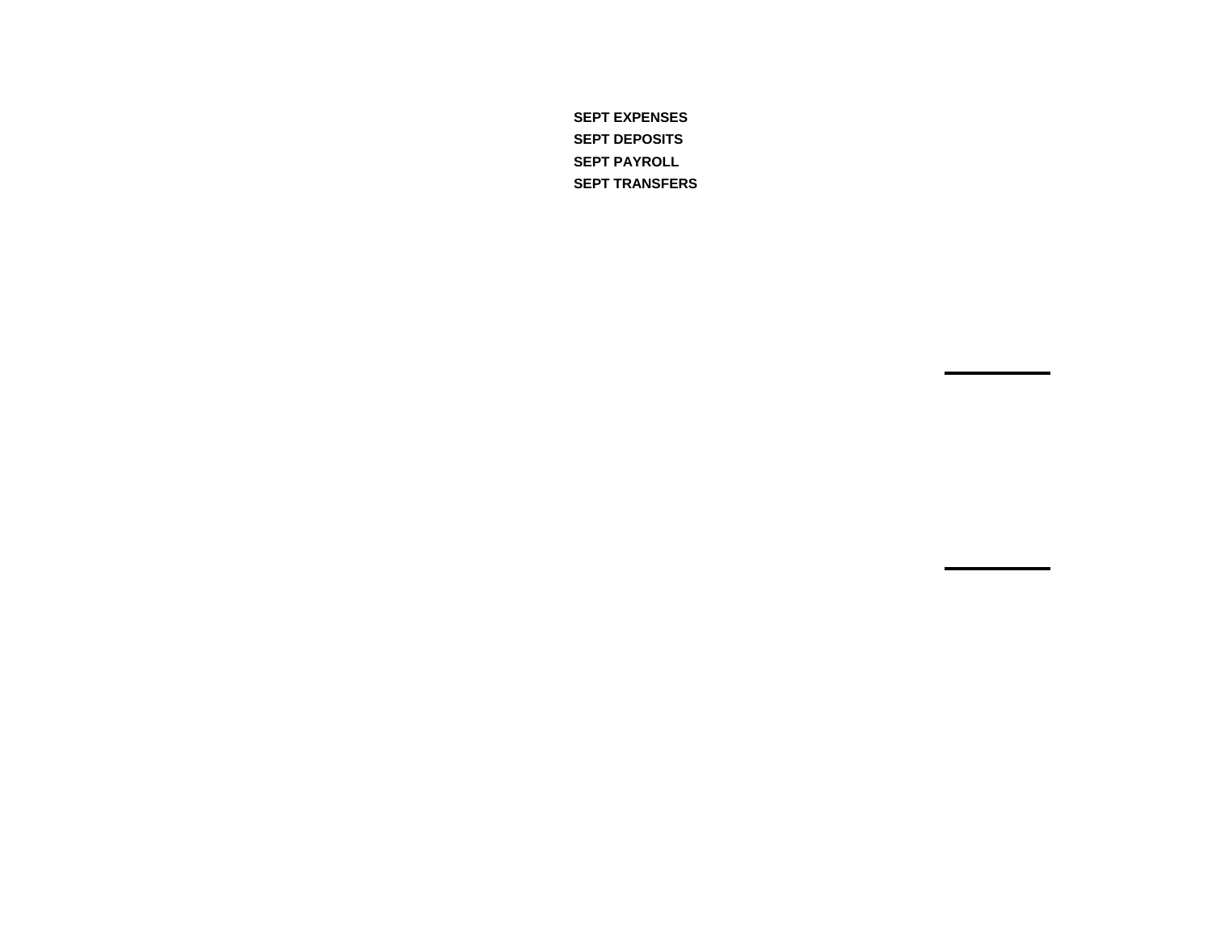**SEPT EXPENSES SEPT DEPOSITS SEPT PAYROLL SEPT TRANSFERS**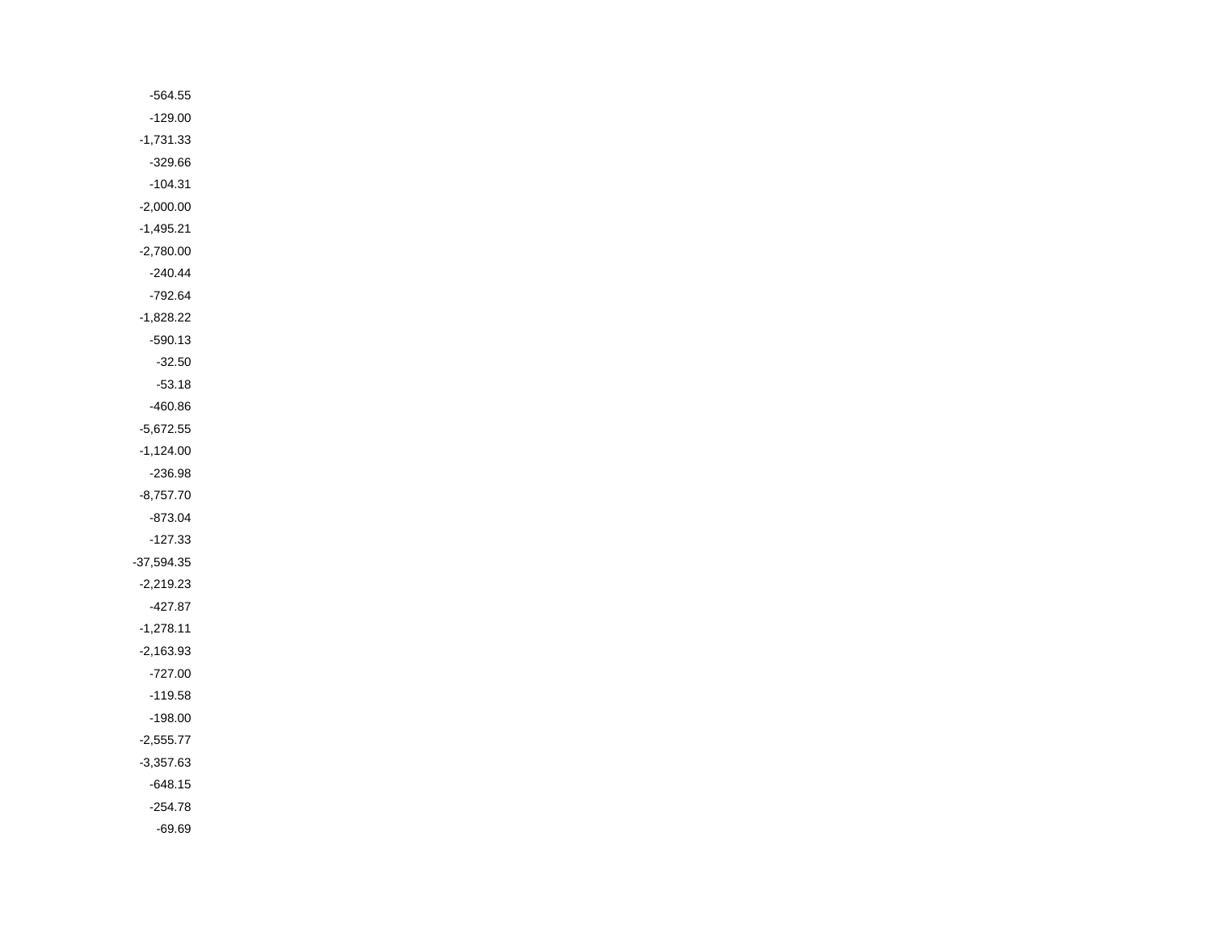| $-564.55$    |  |
|--------------|--|
| $-129.00$    |  |
| $-1,731.33$  |  |
| $-329.66$    |  |
| $-104.31$    |  |
| $-2,000.00$  |  |
| $-1,495.21$  |  |
| $-2,780.00$  |  |
| $-240.44$    |  |
| $-792.64$    |  |
| $-1,828.22$  |  |
| $-590.13$    |  |
| $-32.50$     |  |
| $-53.18$     |  |
| $-460.86$    |  |
| $-5,672.55$  |  |
| $-1,124.00$  |  |
| $-236.98$    |  |
| $-8,757.70$  |  |
| $-873.04$    |  |
| $-127.33$    |  |
| $-37,594.35$ |  |
| $-2,219.23$  |  |
| -427.87      |  |
| $-1,278.11$  |  |
| $-2,163.93$  |  |
| $-727.00$    |  |
| $-119.58$    |  |
| $-198.00$    |  |
| $-2,555.77$  |  |
| $-3,357.63$  |  |
| $-648.15$    |  |
| $-254.78$    |  |
| $-69.69$     |  |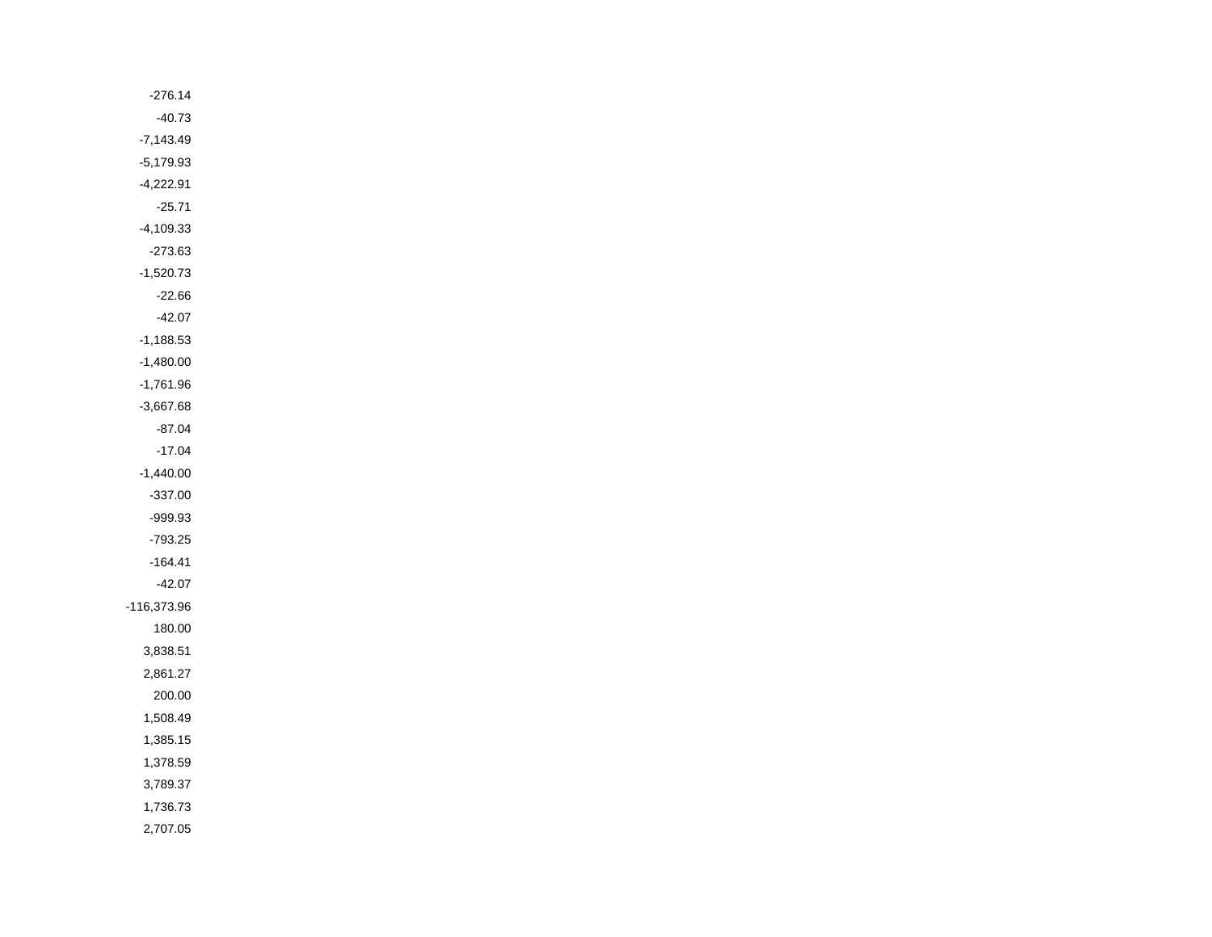| $-276.14$   |
|-------------|
| $-40.73$    |
| $-7,143.49$ |
| $-5,179.93$ |
| $-4,222.91$ |
| $-25.71$    |
| $-4,109.33$ |
| $-273.63$   |
| $-1,520.73$ |
| $-22.66$    |
| $-42.07$    |
| $-1,188.53$ |
| $-1,480.00$ |
| $-1,761.96$ |
| $-3,667.68$ |
| $-87.04$    |
| $-17.04$    |
| $-1,440.00$ |
| $-337.00$   |
| $-999.93$   |
| $-793.25$   |
| $-164.41$   |
| $-42.07$    |
| -116,373.96 |
| 180.00      |
| 3,838.51    |
| 2,861.27    |
| 200.00      |
| 1,508.49    |
| 1,385.15    |
| 1,378.59    |
| 3,789.37    |
| 1,736.73    |
| 2,707.05    |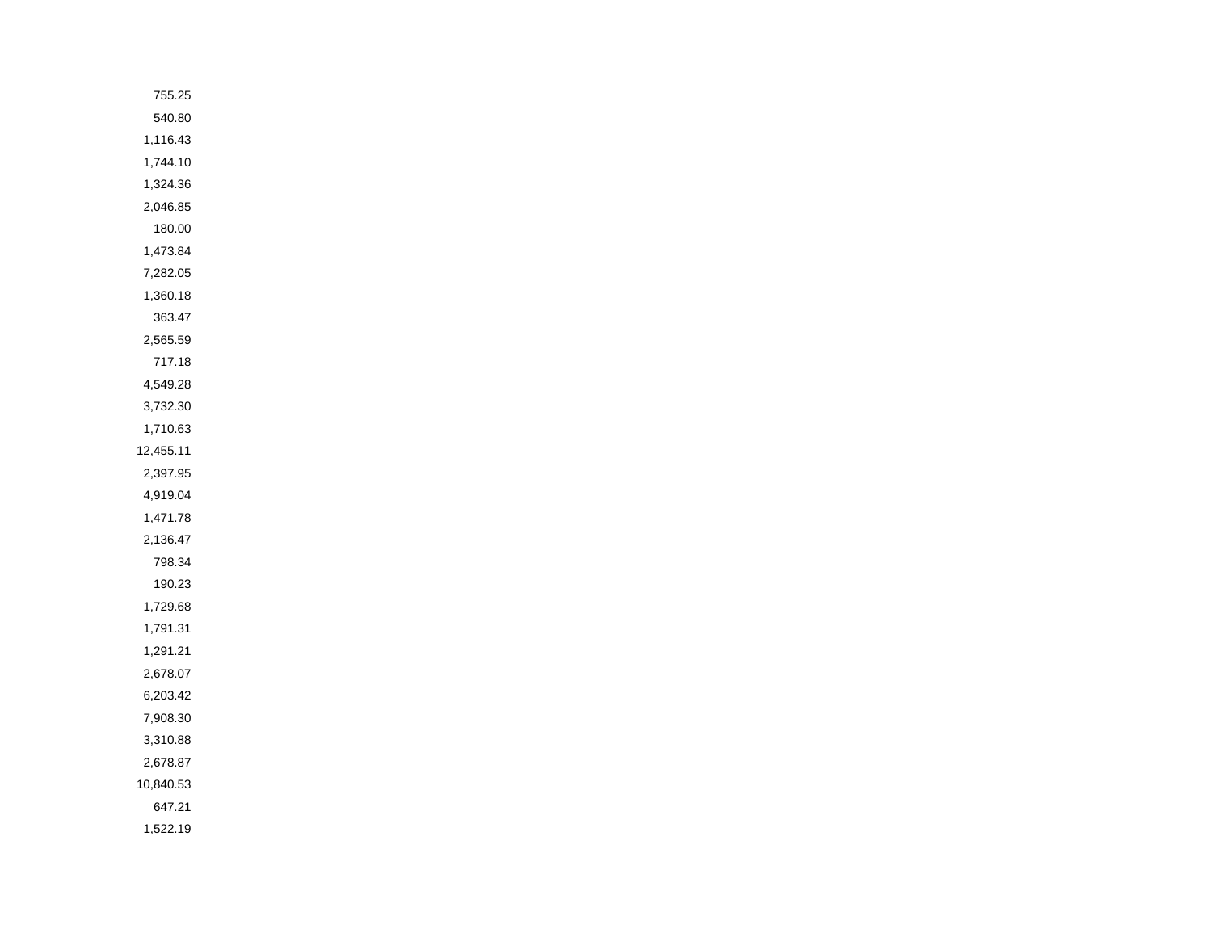| 755.25    |
|-----------|
| 540.80    |
| 1,116.43  |
| 1,744.10  |
| 1,324.36  |
| 2,046.85  |
| 180.00    |
| 1,473.84  |
| 7,282.05  |
| 1,360.18  |
| 363.47    |
| 2,565.59  |
| 717.18    |
| 4,549.28  |
| 3,732.30  |
| 1,710.63  |
| 12,455.11 |
| 2,397.95  |
| 4,919.04  |
| 1,471.78  |
| 2,136.47  |
| 798.34    |
| 190.23    |
| 1,729.68  |
| 1,791.31  |
| 1,291.21  |
| 2,678.07  |
| 6,203.42  |
| 7,908.30  |
| 3,310.88  |
| 2,678.87  |
| 10,840.53 |
| 647.21    |
| 1,522.19  |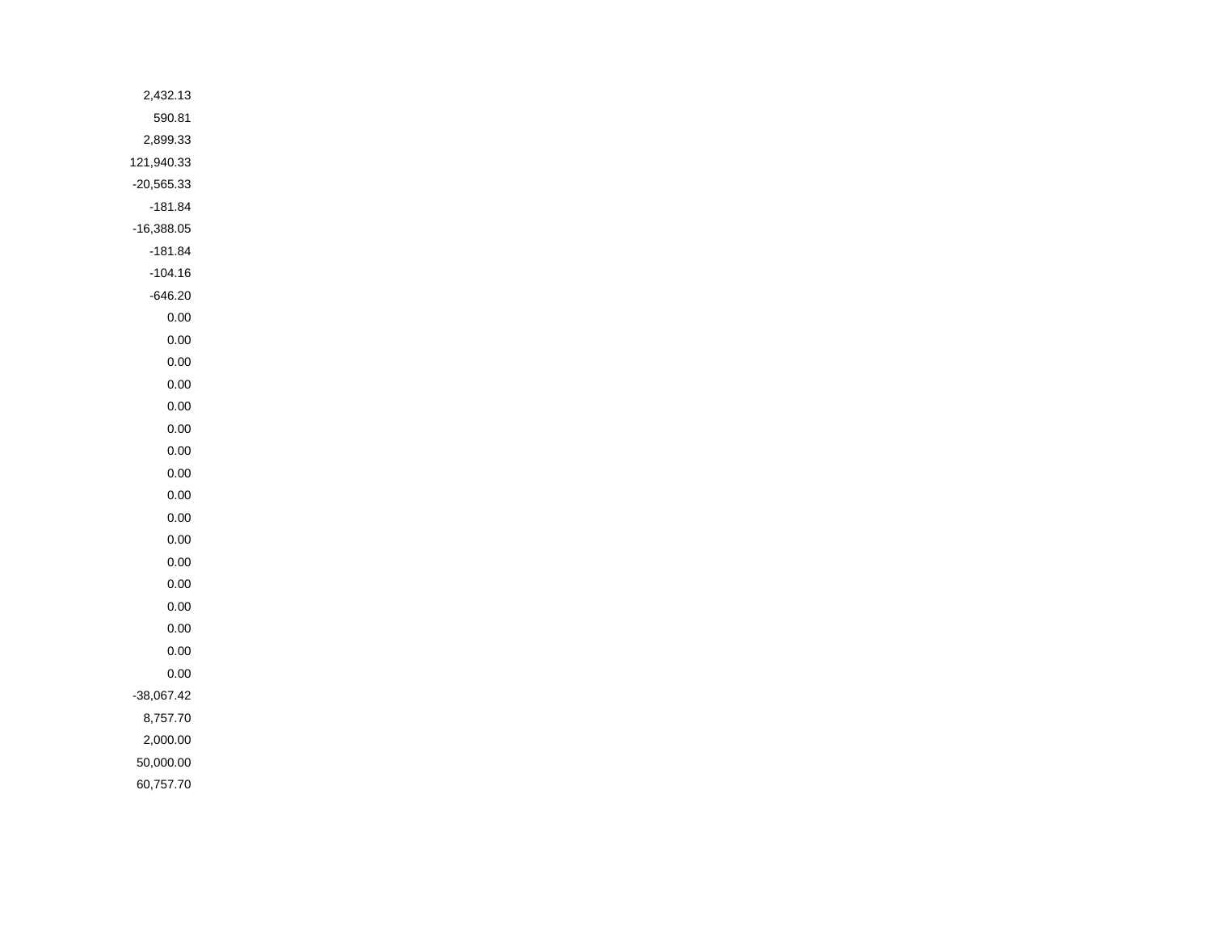| 2,432.13     |
|--------------|
| 590.81       |
| 2,899.33     |
| 121,940.33   |
| $-20,565.33$ |
| $-181.84$    |
| $-16,388.05$ |
| $-181.84$    |
| $-104.16$    |
| $-646.20$    |
| $0.00\,$     |
| $0.00\,$     |
| $0.00\,$     |
| $0.00\,$     |
| $0.00\,$     |
| $0.00\,$     |
| $0.00\,$     |
| $0.00\,$     |
| $0.00\,$     |
| $0.00\,$     |
| $0.00\,$     |
| $0.00\,$     |
| $0.00\,$     |
| $0.00\,$     |
| $0.00\,$     |
| $0.00\,$     |
| $0.00\,$     |
| $-38,067.42$ |
| 8,757.70     |
| 2,000.00     |
| 50,000.00    |
| 60,757.70    |
|              |